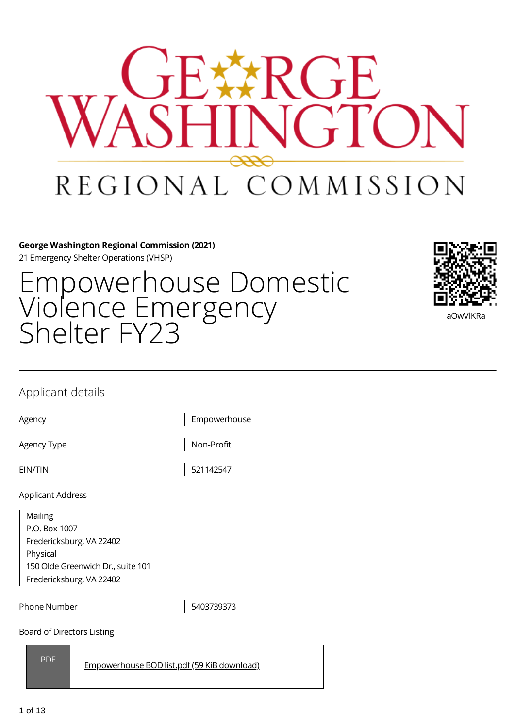

**George Washington Regional Commission (2021)** 21 Emergency Shelter Operations (VHSP)

Empowerhouse Domestic Violence Emergency Shelter FY23



## Applicant details

EIN/TIN 521142547

Agency Empowerhouse

Agency Type Non-Profit

Applicant Address

Mailing P.O. Box 1007 Fredericksburg, VA 22402 Physical 150 Olde Greenwich Dr., suite 101 Fredericksburg, VA 22402

Phone Number 1 2003739373

Board of Directors Listing

PDF

[Empowerhouse](https://gwregion.grantplatform.com/r/file/9LId2qi4YmXIvg8z) BOD list.pdf (59 KiB download)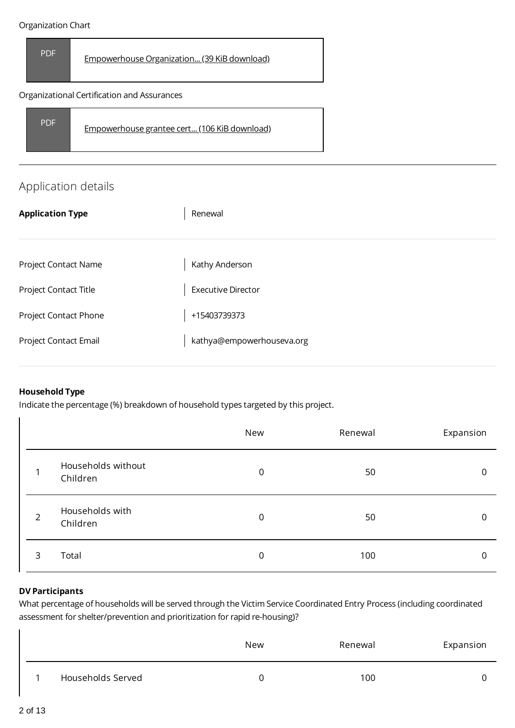#### Organization Chart





# Application details

| <b>Application Type</b> | Renewal                   |
|-------------------------|---------------------------|
|                         |                           |
| Project Contact Name    | Kathy Anderson            |
| Project Contact Title   | <b>Executive Director</b> |
| Project Contact Phone   | +15403739373              |
| Project Contact Email   | kathya@empowerhouseva.org |

## **Household Type**

 $\overline{\phantom{a}}$ 

Indicate the percentage (%) breakdown of household types targeted by this project.

|                |                                | New            | Renewal | Expansion |
|----------------|--------------------------------|----------------|---------|-----------|
|                | Households without<br>Children | $\overline{0}$ | 50      | 0         |
| $\overline{2}$ | Households with<br>Children    | $\overline{0}$ | 50      | 0         |
| 3              | Total                          | 0              | 100     | 0         |

## **DV Participants**

What percentage of households will be served through the Victim Service Coordinated Entry Process (including coordinated assessment for shelter/prevention and prioritization for rapid re-housing)?

|                   | <b>New</b> | Renewal | Expansion |
|-------------------|------------|---------|-----------|
| Households Served |            | 100     |           |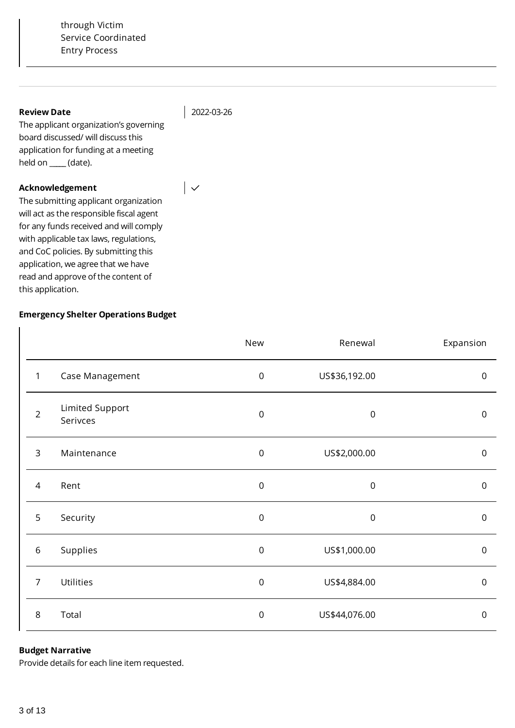#### **Review Date**

2022-03-26

 $|\downarrow$ 

The applicant organization's governing board discussed/ will discuss this application for funding at a meeting held on \_**\_\_\_\_** (date).

## **Acknowledgement**

The submitting applicant organization will act as the responsible fiscal agent for any funds received and will comply with applicable tax laws, regulations, and CoC policies. By submitting this application, we agree that we have read and approve of the content of this application.

## **Emergency Shelter Operations Budget**

|                |                             | New              | Renewal          | Expansion           |
|----------------|-----------------------------|------------------|------------------|---------------------|
| 1              | Case Management             | $\boldsymbol{0}$ | US\$36,192.00    | $\mathsf{O}\xspace$ |
| $\overline{2}$ | Limited Support<br>Serivces | $\boldsymbol{0}$ | $\boldsymbol{0}$ | $\mathsf{O}\xspace$ |
| 3              | Maintenance                 | $\boldsymbol{0}$ | US\$2,000.00     | $\mathbf 0$         |
| 4              | Rent                        | $\mathsf 0$      | $\boldsymbol{0}$ | $\mathsf{O}\xspace$ |
| 5              | Security                    | $\mathsf 0$      | $\boldsymbol{0}$ | $\mathbf 0$         |
| $\,$ 6 $\,$    | Supplies                    | $\boldsymbol{0}$ | US\$1,000.00     | $\mathsf{O}\xspace$ |
| $\overline{7}$ | Utilities                   | $\boldsymbol{0}$ | US\$4,884.00     | $\mathsf 0$         |
| $\,8\,$        | Total                       | $\mathbf 0$      | US\$44,076.00    | $\mathbf 0$         |

## **Budget Narrative**

Provide details for each line item requested.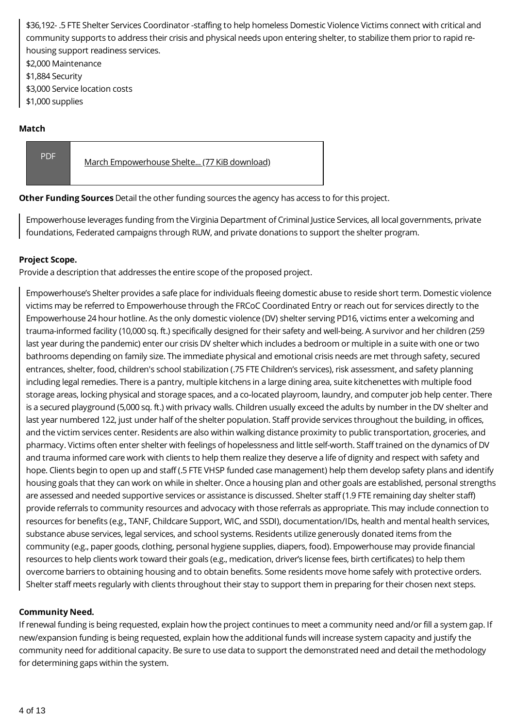\$36,192- .5 FTE Shelter Services Coordinator -staffing to help homeless Domestic Violence Victims connect with critical and community supports to address their crisis and physical needs upon entering shelter, to stabilize them prior to rapid rehousing support readiness services.

\$2,000 Maintenance

\$1,884 Security

\$3,000 Service location costs

\$1,000 supplies

## **Match**

PDF March [Empowerhouse](https://gwregion.grantplatform.com/r/file/4KHcCOfcNXy4AZvD) Shelte... (77 KiB download)

**Other Funding Sources** Detail the other funding sources the agency has access to for this project.

Empowerhouse leverages funding from the Virginia Department of Criminal Justice Services, all local governments, private foundations, Federated campaigns through RUW, and private donations to support the shelter program.

## **Project Scope.**

Provide a description that addresses the entire scope of the proposed project.

Empowerhouse's Shelter provides a safe place for individuals fleeing domestic abuse to reside short term. Domestic violence victims may be referred to Empowerhouse through the FRCoC Coordinated Entry or reach out for services directly to the Empowerhouse 24 hour hotline. As the only domestic violence (DV) shelter serving PD16, victims enter a welcoming and trauma-informed facility (10,000 sq. ft.) specifically designed for their safety and well-being. A survivor and her children (259 last year during the pandemic) enter our crisis DV shelter which includes a bedroom or multiple in a suite with one or two bathrooms depending on family size. The immediate physical and emotional crisis needs are met through safety, secured entrances, shelter, food, children's school stabilization (.75 FTE Children's services), risk assessment, and safety planning including legal remedies. There is a pantry, multiple kitchens in a large dining area, suite kitchenettes with multiple food storage areas, locking physical and storage spaces, and a co-located playroom, laundry, and computer job help center. There is a secured playground (5,000 sq. ft.) with privacy walls. Children usually exceed the adults by number in the DV shelter and last year numbered 122, just under half of the shelter population. Staff provide services throughout the building, in offices, and the victim services center. Residents are also within walking distance proximity to public transportation, groceries, and pharmacy. Victims often enter shelter with feelings of hopelessness and little self-worth. Staff trained on the dynamics of DV and trauma informed care work with clients to help them realize they deserve a life of dignity and respect with safety and hope. Clients begin to open up and staff (.5 FTE VHSP funded case management) help them develop safety plans and identify housing goals that they can work on while in shelter. Once a housing plan and other goals are established, personal strengths are assessed and needed supportive services or assistance is discussed. Shelter staff (1.9 FTE remaining day shelter staff) provide referrals to community resources and advocacy with those referrals as appropriate. This may include connection to resources for benefits (e.g., TANF, Childcare Support, WIC, and SSDI), documentation/IDs, health and mental health services, substance abuse services, legal services, and school systems. Residents utilize generously donated items from the community (e.g., paper goods, clothing, personal hygiene supplies, diapers, food). Empowerhouse may provide financial resources to help clients work toward their goals (e.g., medication, driver's license fees, birth certificates) to help them overcome barriers to obtaining housing and to obtain benefits. Some residents move home safely with protective orders. Shelter staff meets regularly with clients throughout their stay to support them in preparing for their chosen next steps.

## **Community Need.**

If renewal funding is being requested, explain how the project continues to meet a community need and/or fill a system gap. If new/expansion funding is being requested, explain how the additional funds will increase system capacity and justify the community need for additional capacity. Be sure to use data to support the demonstrated need and detail the methodology for determining gaps within the system.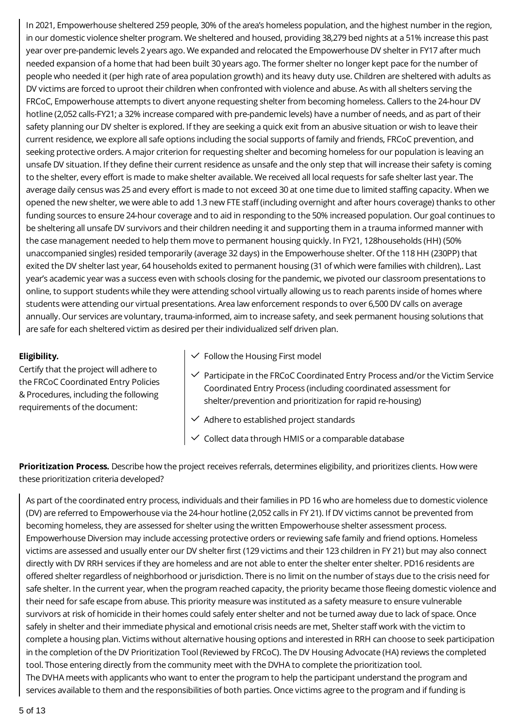In 2021, Empowerhouse sheltered 259 people, 30% of the area's homeless population, and the highest number in the region, in our domestic violence shelter program. We sheltered and housed, providing 38,279 bed nights at a 51% increase this past year over pre-pandemic levels 2 years ago. We expanded and relocated the Empowerhouse DV shelter in FY17 after much needed expansion of a home that had been built 30 years ago. The former shelter no longer kept pace for the number of people who needed it (per high rate of area population growth) and its heavy duty use. Children are sheltered with adults as DV victims are forced to uproot their children when confronted with violence and abuse. As with all shelters serving the FRCoC, Empowerhouse attempts to divert anyone requesting shelter from becoming homeless. Callers to the 24-hour DV hotline (2,052 calls-FY21; a 32% increase compared with pre-pandemic levels) have a number of needs, and as part of their safety planning our DV shelter is explored. If they are seeking a quick exit from an abusive situation or wish to leave their current residence, we explore all safe options including the social supports of family and friends, FRCoC prevention, and seeking protective orders. A major criterion for requesting shelter and becoming homeless for our population is leaving an unsafe DV situation. If they define their current residence as unsafe and the only step that will increase their safety is coming to the shelter, every effort is made to make shelter available. We received all local requests for safe shelter last year. The average daily census was 25 and every effort is made to not exceed 30 at one time due to limited staffing capacity. When we opened the new shelter, we were able to add 1.3 new FTE staff (including overnight and after hours coverage) thanks to other funding sources to ensure 24-hour coverage and to aid in responding to the 50% increased population. Our goal continues to be sheltering all unsafe DV survivors and their children needing it and supporting them in a trauma informed manner with the case management needed to help them move to permanent housing quickly. In FY21, 128households (HH) (50% unaccompanied singles) resided temporarily (average 32 days) in the Empowerhouse shelter. Of the 118 HH (230PP) that exited the DV shelter last year, 64 households exited to permanent housing (31 of which were families with children),. Last year's academic year was a success even with schools closing for the pandemic, we pivoted our classroom presentations to online, to support students while they were attending school virtually allowing us to reach parents inside of homes where students were attending our virtual presentations. Area law enforcement responds to over 6,500 DV calls on average annually. Our services are voluntary, trauma-informed, aim to increase safety, and seek permanent housing solutions that are safe for each sheltered victim as desired per their individualized self driven plan.

## **Eligibility.**

Certify that the project will adhere to the FRCoC Coordinated Entry Policies & Procedures, including the following requirements of the document:

- $\checkmark$  Follow the Housing First model
- $\checkmark$  Participate in the FRCoC Coordinated Entry Process and/or the Victim Service Coordinated Entry Process (including coordinated assessment for shelter/prevention and prioritization for rapid re-housing)
- $\vee$  Adhere to established project standards
- $\vee$  Collect data through HMIS or a comparable database

**Prioritization Process.** Describe how the project receives referrals, determines eligibility, and prioritizes clients. How were these prioritization criteria developed?

As part of the coordinated entry process, individuals and their families in PD 16 who are homeless due to domestic violence (DV) are referred to Empowerhouse via the 24-hour hotline (2,052 calls in FY 21). If DV victims cannot be prevented from becoming homeless, they are assessed for shelter using the written Empowerhouse shelter assessment process. Empowerhouse Diversion may include accessing protective orders or reviewing safe family and friend options. Homeless victims are assessed and usually enter our DV shelter first (129 victims and their 123 children in FY 21) but may also connect directly with DV RRH services if they are homeless and are not able to enter the shelter enter shelter. PD16 residents are offered shelter regardless of neighborhood or jurisdiction. There is no limit on the number of stays due to the crisis need for safe shelter. In the current year, when the program reached capacity, the priority became those fleeing domestic violence and their need for safe escape from abuse. This priority measure was instituted as a safety measure to ensure vulnerable survivors at risk of homicide in their homes could safely enter shelter and not be turned away due to lack of space. Once safely in shelter and their immediate physical and emotional crisis needs are met, Shelter staff work with the victim to complete a housing plan. Victims without alternative housing options and interested in RRH can choose to seek participation in the completion of the DV Prioritization Tool (Reviewed by FRCoC). The DV Housing Advocate (HA) reviews the completed tool. Those entering directly from the community meet with the DVHA to complete the prioritization tool. The DVHA meets with applicants who want to enter the program to help the participant understand the program and services available to them and the responsibilities of both parties. Once victims agree to the program and if funding is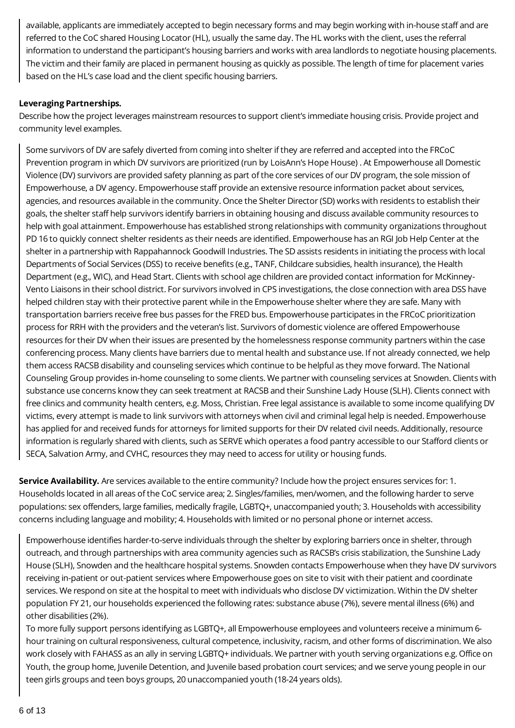available, applicants are immediately accepted to begin necessary forms and may begin working with in-house staff and are referred to the CoC shared Housing Locator (HL), usually the same day. The HL works with the client, uses the referral information to understand the participant's housing barriers and works with area landlords to negotiate housing placements. The victim and their family are placed in permanent housing as quickly as possible. The length of time for placement varies based on the HL's case load and the client specific housing barriers.

## **Leveraging Partnerships.**

Describe how the project leverages mainstream resources to support client's immediate housing crisis. Provide project and community level examples.

Some survivors of DV are safely diverted from coming into shelter if they are referred and accepted into the FRCoC Prevention program in which DV survivors are prioritized (run by LoisAnn's Hope House) . At Empowerhouse all Domestic Violence (DV) survivors are provided safety planning as part of the core services of our DV program, the sole mission of Empowerhouse, a DV agency. Empowerhouse staff provide an extensive resource information packet about services, agencies, and resources available in the community. Once the Shelter Director (SD) works with residents to establish their goals, the shelter staff help survivors identify barriers in obtaining housing and discuss available community resources to help with goal attainment. Empowerhouse has established strong relationships with community organizations throughout PD 16 to quickly connect shelter residents as their needs are identified. Empowerhouse has an RGI Job Help Center at the shelter in a partnership with Rappahannock Goodwill Industries. The SD assists residents in initiating the process with local Departments of Social Services (DSS) to receive benefits (e.g., TANF, Childcare subsidies, health insurance), the Health Department (e.g., WIC), and Head Start. Clients with school age children are provided contact information for McKinney-Vento Liaisons in their school district. For survivors involved in CPS investigations, the close connection with area DSS have helped children stay with their protective parent while in the Empowerhouse shelter where they are safe. Many with transportation barriers receive free bus passes for the FRED bus. Empowerhouse participates in the FRCoC prioritization process for RRH with the providers and the veteran's list. Survivors of domestic violence are offered Empowerhouse resources for their DV when their issues are presented by the homelessness response community partners within the case conferencing process. Many clients have barriers due to mental health and substance use. If not already connected, we help them access RACSB disability and counseling services which continue to be helpful as they move forward. The National Counseling Group provides in-home counseling to some clients. We partner with counseling services at Snowden. Clients with substance use concerns know they can seek treatment at RACSB and their Sunshine Lady House (SLH). Clients connect with free clinics and community health centers, e.g. Moss, Christian. Free legal assistance is available to some income qualifying DV victims, every attempt is made to link survivors with attorneys when civil and criminal legal help is needed. Empowerhouse has applied for and received funds for attorneys for limited supports for their DV related civil needs. Additionally, resource information is regularly shared with clients, such as SERVE which operates a food pantry accessible to our Stafford clients or SECA, Salvation Army, and CVHC, resources they may need to access for utility or housing funds.

**Service Availability.** Are services available to the entire community? Include how the project ensures services for: 1. Households located in all areas of the CoC service area; 2. Singles/families, men/women, and the following harder to serve populations: sex offenders, large families, medically fragile, LGBTQ+, unaccompanied youth; 3. Households with accessibility concerns including language and mobility; 4. Households with limited or no personal phone or internet access.

Empowerhouse identifies harder-to-serve individuals through the shelter by exploring barriers once in shelter, through outreach, and through partnerships with area community agencies such as RACSB's crisis stabilization, the Sunshine Lady House (SLH), Snowden and the healthcare hospital systems. Snowden contacts Empowerhouse when they have DV survivors receiving in-patient or out-patient services where Empowerhouse goes on site to visit with their patient and coordinate services. We respond on site at the hospital to meet with individuals who disclose DV victimization. Within the DV shelter population FY 21, our households experienced the following rates: substance abuse (7%), severe mental illness (6%) and other disabilities (2%).

To more fully support persons identifying as LGBTQ+, all Empowerhouse employees and volunteers receive a minimum 6 hour training on cultural responsiveness, cultural competence, inclusivity, racism, and other forms of discrimination. We also work closely with FAHASS as an ally in serving LGBTQ+ individuals. We partner with youth serving organizations e.g. Office on Youth, the group home, Juvenile Detention, and Juvenile based probation court services; and we serve young people in our teen girls groups and teen boys groups, 20 unaccompanied youth (18-24 years olds).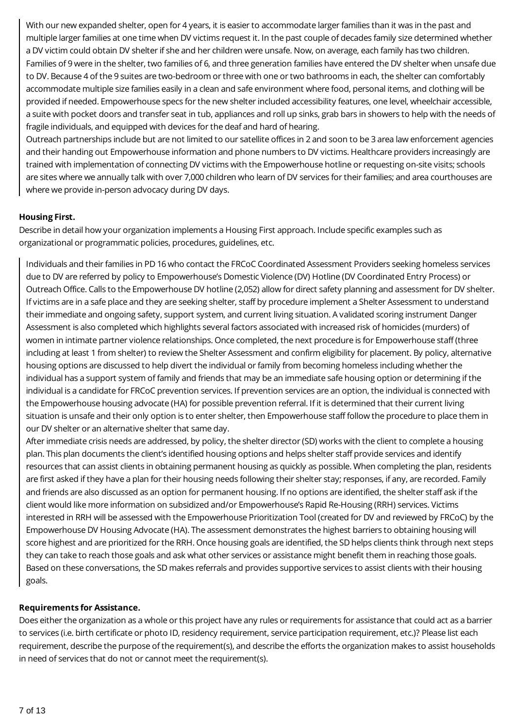With our new expanded shelter, open for 4 years, it is easier to accommodate larger families than it was in the past and multiple larger families at one time when DV victims request it. In the past couple of decades family size determined whether a DV victim could obtain DV shelter if she and her children were unsafe. Now, on average, each family has two children. Families of 9 were in the shelter, two families of 6, and three generation families have entered the DV shelter when unsafe due to DV. Because 4 of the 9 suites are two-bedroom or three with one or two bathrooms in each, the shelter can comfortably accommodate multiple size families easily in a clean and safe environment where food, personal items, and clothing will be provided if needed. Empowerhouse specs for the new shelter included accessibility features, one level, wheelchair accessible, a suite with pocket doors and transfer seat in tub, appliances and roll up sinks, grab bars in showers to help with the needs of fragile individuals, and equipped with devices for the deaf and hard of hearing.

Outreach partnerships include but are not limited to our satellite offices in 2 and soon to be 3 area law enforcement agencies and their handing out Empowerhouse information and phone numbers to DV victims. Healthcare providers increasingly are trained with implementation of connecting DV victims with the Empowerhouse hotline or requesting on-site visits; schools are sites where we annually talk with over 7,000 children who learn of DV services for their families; and area courthouses are where we provide in-person advocacy during DV days.

## **Housing First.**

Describe in detail how your organization implements a Housing First approach. Include specific examples such as organizational or programmatic policies, procedures, guidelines, etc.

Individuals and their families in PD 16 who contact the FRCoC Coordinated Assessment Providers seeking homeless services due to DV are referred by policy to Empowerhouse's Domestic Violence (DV) Hotline (DV Coordinated Entry Process) or Outreach Office. Calls to the Empowerhouse DV hotline (2,052) allow for direct safety planning and assessment for DV shelter. If victims are in a safe place and they are seeking shelter, staff by procedure implement a Shelter Assessment to understand their immediate and ongoing safety, support system, and current living situation. A validated scoring instrument Danger Assessment is also completed which highlights several factors associated with increased risk of homicides (murders) of women in intimate partner violence relationships. Once completed, the next procedure is for Empowerhouse staff (three including at least 1 from shelter) to review the Shelter Assessment and confirm eligibility for placement. By policy, alternative housing options are discussed to help divert the individual or family from becoming homeless including whether the individual has a support system of family and friends that may be an immediate safe housing option or determining if the individual is a candidate for FRCoC prevention services. If prevention services are an option, the individual is connected with the Empowerhouse housing advocate (HA) for possible prevention referral. If it is determined that their current living situation is unsafe and their only option is to enter shelter, then Empowerhouse staff follow the procedure to place them in our DV shelter or an alternative shelter that same day.

After immediate crisis needs are addressed, by policy, the shelter director (SD) works with the client to complete a housing plan. This plan documents the client's identified housing options and helps shelter staff provide services and identify resources that can assist clients in obtaining permanent housing as quickly as possible. When completing the plan, residents are first asked if they have a plan for their housing needs following their shelter stay; responses, if any, are recorded. Family and friends are also discussed as an option for permanent housing. If no options are identified, the shelter staff ask if the client would like more information on subsidized and/or Empowerhouse's Rapid Re-Housing (RRH) services. Victims interested in RRH will be assessed with the Empowerhouse Prioritization Tool (created for DV and reviewed by FRCoC) by the Empowerhouse DV Housing Advocate (HA). The assessment demonstrates the highest barriers to obtaining housing will score highest and are prioritized for the RRH. Once housing goals are identified, the SD helps clients think through next steps they can take to reach those goals and ask what other services or assistance might benefit them in reaching those goals. Based on these conversations, the SD makes referrals and provides supportive services to assist clients with their housing goals.

## **Requirements for Assistance.**

Does either the organization as a whole or this project have any rules or requirements for assistance that could act as a barrier to services (i.e. birth certificate or photo ID, residency requirement, service participation requirement, etc.)? Please list each requirement, describe the purpose of the requirement(s), and describe the efforts the organization makes to assist households in need of services that do not or cannot meet the requirement(s).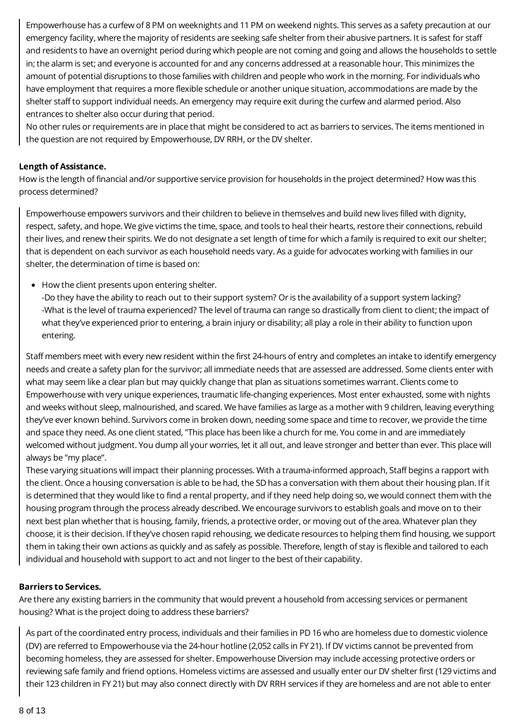Empowerhouse has a curfew of 8 PM on weeknights and 11 PM on weekend nights. This serves as a safety precaution at our emergency facility, where the majority of residents are seeking safe shelter from their abusive partners. It is safest for staff and residents to have an overnight period during which people are not coming and going and allows the households to settle in; the alarm is set; and everyone is accounted for and any concerns addressed at a reasonable hour. This minimizes the amount of potential disruptions to those families with children and people who work in the morning. For individuals who have employment that requires a more flexible schedule or another unique situation, accommodations are made by the shelter staff to support individual needs. An emergency may require exit during the curfew and alarmed period. Also entrances to shelter also occur during that period.

No other rules or requirements are in place that might be considered to act as barriers to services. The items mentioned in the question are not required by Empowerhouse, DV RRH, or the DV shelter.

## **Length of Assistance.**

How is the length of financial and/or supportive service provision for households in the project determined? How was this process determined?

Empowerhouse empowers survivors and their children to believe in themselves and build new lives filled with dignity, respect, safety, and hope. We give victims the time, space, and tools to heal their hearts, restore their connections, rebuild their lives, and renew their spirits. We do not designate a set length of time for which a family is required to exit our shelter; that is dependent on each survivor as each household needs vary. As a guide for advocates working with families in our shelter, the determination of time is based on:

• How the client presents upon entering shelter.

-Do they have the ability to reach out to their support system? Or is the availability of a support system lacking? -What is the level of trauma experienced? The level of trauma can range so drastically from client to client; the impact of what they've experienced prior to entering, a brain injury or disability; all play a role in their ability to function upon entering.

Staff members meet with every new resident within the first 24-hours of entry and completes an intake to identify emergency needs and create a safety plan for the survivor; all immediate needs that are assessed are addressed. Some clients enter with what may seem like a clear plan but may quickly change that plan as situations sometimes warrant. Clients come to Empowerhouse with very unique experiences, traumatic life-changing experiences. Most enter exhausted, some with nights and weeks without sleep, malnourished, and scared. We have families as large as a mother with 9 children, leaving everything they've ever known behind. Survivors come in broken down, needing some space and time to recover, we provide the time and space they need. As one client stated, "This place has been like a church for me. You come in and are immediately welcomed without judgment. You dump all your worries, let it all out, and leave stronger and better than ever. This place will always be "my place".

These varying situations will impact their planning processes. With a trauma-informed approach, Staff begins a rapport with the client. Once a housing conversation is able to be had, the SD has a conversation with them about their housing plan. If it is determined that they would like to find a rental property, and if they need help doing so, we would connect them with the housing program through the process already described. We encourage survivors to establish goals and move on to their next best plan whether that is housing, family, friends, a protective order, or moving out of the area. Whatever plan they choose, it is their decision. If they've chosen rapid rehousing, we dedicate resources to helping them find housing, we support them in taking their own actions as quickly and as safely as possible. Therefore, length of stay is flexible and tailored to each individual and household with support to act and not linger to the best of their capability.

## **Barriers to Services.**

Are there any existing barriers in the community that would prevent a household from accessing services or permanent housing? What is the project doing to address these barriers?

As part of the coordinated entry process, individuals and their families in PD 16 who are homeless due to domestic violence (DV) are referred to Empowerhouse via the 24-hour hotline (2,052 calls in FY 21). If DV victims cannot be prevented from becoming homeless, they are assessed for shelter. Empowerhouse Diversion may include accessing protective orders or reviewing safe family and friend options. Homeless victims are assessed and usually enter our DV shelter first (129 victims and their 123 children in FY 21) but may also connect directly with DV RRH services if they are homeless and are not able to enter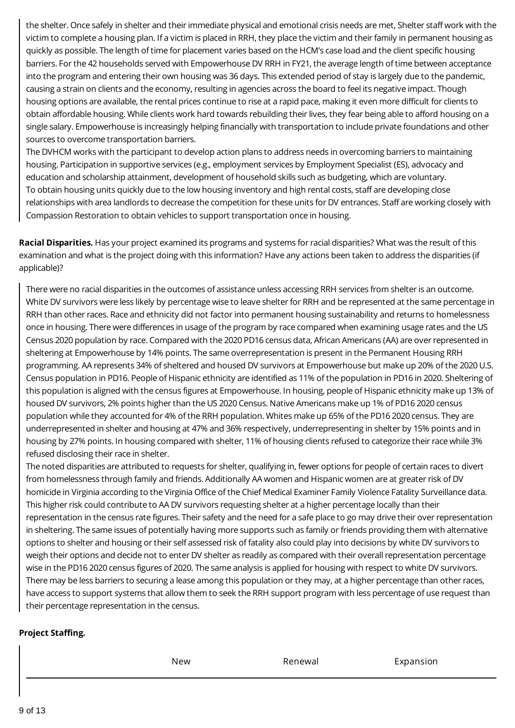the shelter. Once safely in shelter and their immediate physical and emotional crisis needs are met, Shelter staff work with the victim to complete a housing plan. If a victim is placed in RRH, they place the victim and their family in permanent housing as quickly as possible. The length of time for placement varies based on the HCM's case load and the client specific housing barriers. For the 42 households served with Empowerhouse DV RRH in FY21, the average length of time between acceptance into the program and entering their own housing was 36 days. This extended period of stay is largely due to the pandemic, causing a strain on clients and the economy, resulting in agencies across the board to feel its negative impact. Though housing options are available, the rental prices continue to rise at a rapid pace, making it even more difficult for clients to obtain affordable housing. While clients work hard towards rebuilding their lives, they fear being able to afford housing on a single salary. Empowerhouse is increasingly helping financially with transportation to include private foundations and other sources to overcome transportation barriers.

The DVHCM works with the participant to develop action plans to address needs in overcoming barriers to maintaining housing. Participation in supportive services (e.g., employment services by Employment Specialist (ES), advocacy and education and scholarship attainment, development of household skills such as budgeting, which are voluntary. To obtain housing units quickly due to the low housing inventory and high rental costs, staff are developing close relationships with area landlords to decrease the competition for these units for DV entrances. Staff are working closely with Compassion Restoration to obtain vehicles to support transportation once in housing.

**Racial Disparities.** Has your project examined its programs and systems for racial disparities? What was the result of this examination and what is the project doing with this information? Have any actions been taken to address the disparities (if applicable)?

There were no racial disparities in the outcomes of assistance unless accessing RRH services from shelter is an outcome. White DV survivors were less likely by percentage wise to leave shelter for RRH and be represented at the same percentage in RRH than other races. Race and ethnicity did not factor into permanent housing sustainability and returns to homelessness once in housing. There were differences in usage of the program by race compared when examining usage rates and the US Census 2020 population by race. Compared with the 2020 PD16 census data, African Americans (AA) are over represented in sheltering at Empowerhouse by 14% points. The same overrepresentation is present in the Permanent Housing RRH programming. AA represents 34% of sheltered and housed DV survivors at Empowerhouse but make up 20% of the 2020 U.S. Census population in PD16. People of Hispanic ethnicity are identified as 11% of the population in PD16 in 2020. Sheltering of this population is aligned with the census figures at Empowerhouse. In housing, people of Hispanic ethnicity make up 13% of housed DV survivors, 2% points higher than the US 2020 Census. Native Americans make up 1% of PD16 2020 census population while they accounted for 4% of the RRH population. Whites make up 65% of the PD16 2020 census. They are underrepresented in shelter and housing at 47% and 36% respectively, underrepresenting in shelter by 15% points and in housing by 27% points. In housing compared with shelter, 11% of housing clients refused to categorize their race while 3% refused disclosing their race in shelter.

The noted disparities are attributed to requests for shelter, qualifying in, fewer options for people of certain races to divert from homelessness through family and friends. Additionally AA women and Hispanic women are at greater risk of DV homicide in Virginia according to the Virginia Office of the Chief Medical Examiner Family Violence Fatality Surveillance data. This higher risk could contribute to AA DV survivors requesting shelter at a higher percentage locally than their representation in the census rate figures. Their safety and the need for a safe place to go may drive their over representation in sheltering. The same issues of potentially having more supports such as family or friends providing them with alternative options to shelter and housing or their self assessed risk of fatality also could play into decisions by white DV survivors to weigh their options and decide not to enter DV shelter as readily as compared with their overall representation percentage wise in the PD16 2020 census figures of 2020. The same analysis is applied for housing with respect to white DV survivors. There may be less barriers to securing a lease among this population or they may, at a higher percentage than other races, have access to support systems that allow them to seek the RRH support program with less percentage of use request than their percentage representation in the census.

## **Project Staffing.**

New Renewal Expansion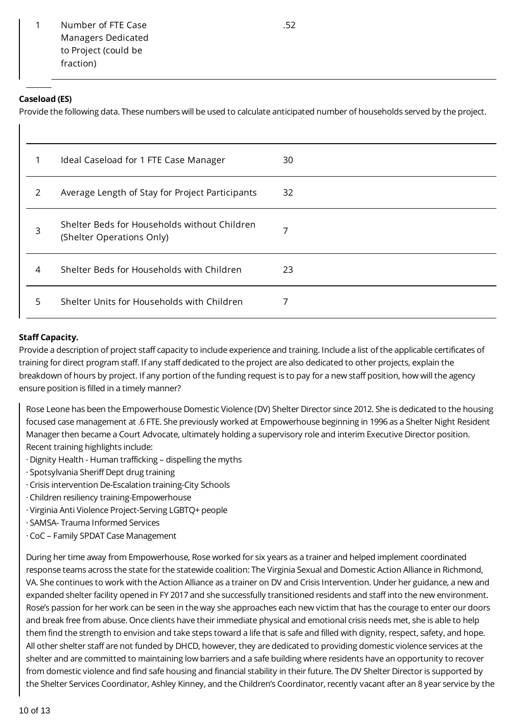1 Number of FTE Case Managers Dedicated to Project (could be fraction)

## **Caseload (ES)**

Provide the following data. These numbers will be used to calculate anticipated number of households served by the project.

| 1             | Ideal Caseload for 1 FTE Case Manager                                     | 30 |
|---------------|---------------------------------------------------------------------------|----|
| $\mathcal{L}$ | Average Length of Stay for Project Participants                           | 32 |
| 3             | Shelter Beds for Households without Children<br>(Shelter Operations Only) | 7  |
| 4             | Shelter Beds for Households with Children                                 | 23 |
| 5             | Shelter Units for Households with Children                                |    |

#### **Staff Capacity.**

Provide a description of project staff capacity to include experience and training. Include a list of the applicable certificates of training for direct program staff. If any staff dedicated to the project are also dedicated to other projects, explain the breakdown of hours by project. If any portion of the funding request is to pay for a new staff position, how will the agency ensure position is filled in a timely manner?

Rose Leone has been the Empowerhouse Domestic Violence (DV) Shelter Director since 2012. She is dedicated to the housing focused case management at .6 FTE. She previously worked at Empowerhouse beginning in 1996 as a Shelter Night Resident Manager then became a Court Advocate, ultimately holding a supervisory role and interim Executive Director position. Recent training highlights include:

- · Dignity Health Human trafficking dispelling the myths
- · Spotsylvania Sheriff Dept drug training
- · Crisis intervention De-Escalation training-City Schools
- · Children resiliency training-Empowerhouse
- · Virginia Anti Violence Project-Serving LGBTQ+ people
- · SAMSA- Trauma Informed Services
- · CoC Family SPDAT Case Management

During her time away from Empowerhouse, Rose worked for six years as a trainer and helped implement coordinated response teams across the state for the statewide coalition: The Virginia Sexual and Domestic Action Alliance in Richmond, VA. She continues to work with the Action Alliance as a trainer on DV and Crisis Intervention. Under her guidance, a new and expanded shelter facility opened in FY 2017 and she successfully transitioned residents and staff into the new environment. Rose's passion for her work can be seen in the way she approaches each new victim that has the courage to enter our doors and break free from abuse. Once clients have their immediate physical and emotional crisis needs met, she is able to help them find the strength to envision and take steps toward a life that is safe and filled with dignity, respect, safety, and hope. All other shelter staff are not funded by DHCD, however, they are dedicated to providing domestic violence services at the shelter and are committed to maintaining low barriers and a safe building where residents have an opportunity to recover from domestic violence and find safe housing and financial stability in their future. The DV Shelter Director is supported by the Shelter Services Coordinator, Ashley Kinney, and the Children's Coordinator, recently vacant after an 8 year service by the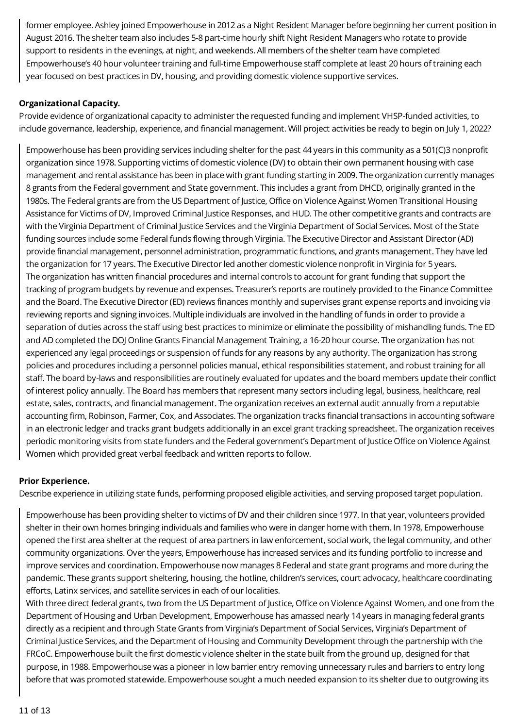former employee. Ashley joined Empowerhouse in 2012 as a Night Resident Manager before beginning her current position in August 2016. The shelter team also includes 5-8 part-time hourly shift Night Resident Managers who rotate to provide support to residents in the evenings, at night, and weekends. All members of the shelter team have completed Empowerhouse's 40 hour volunteer training and full-time Empowerhouse staff complete at least 20 hours of training each year focused on best practices in DV, housing, and providing domestic violence supportive services.

## **Organizational Capacity.**

Provide evidence of organizational capacity to administer the requested funding and implement VHSP-funded activities, to include governance, leadership, experience, and financial management. Will project activities be ready to begin on July 1, 2022?

Empowerhouse has been providing services including shelter for the past 44 years in this community as a 501(C)3 nonprofit organization since 1978. Supporting victims of domestic violence (DV) to obtain their own permanent housing with case management and rental assistance has been in place with grant funding starting in 2009. The organization currently manages 8 grants from the Federal government and State government. This includes a grant from DHCD, originally granted in the 1980s. The Federal grants are from the US Department of Justice, Office on Violence Against Women Transitional Housing Assistance for Victims of DV, Improved Criminal Justice Responses, and HUD. The other competitive grants and contracts are with the Virginia Department of Criminal Justice Services and the Virginia Department of Social Services. Most of the State funding sources include some Federal funds flowing through Virginia. The Executive Director and Assistant Director (AD) provide financial management, personnel administration, programmatic functions, and grants management. They have led the organization for 17 years. The Executive Director led another domestic violence nonprofit in Virginia for 5 years. The organization has written financial procedures and internal controls to account for grant funding that support the tracking of program budgets by revenue and expenses. Treasurer's reports are routinely provided to the Finance Committee and the Board. The Executive Director (ED) reviews finances monthly and supervises grant expense reports and invoicing via reviewing reports and signing invoices. Multiple individuals are involved in the handling of funds in order to provide a separation of duties across the staff using best practices to minimize or eliminate the possibility of mishandling funds. The ED and AD completed the DOJ Online Grants Financial Management Training, a 16-20 hour course. The organization has not experienced any legal proceedings or suspension of funds for any reasons by any authority. The organization has strong policies and procedures including a personnel policies manual, ethical responsibilities statement, and robust training for all staff. The board by-laws and responsibilities are routinely evaluated for updates and the board members update their conflict of interest policy annually. The Board has members that represent many sectors including legal, business, healthcare, real estate, sales, contracts, and financial management. The organization receives an external audit annually from a reputable accounting firm, Robinson, Farmer, Cox, and Associates. The organization tracks financial transactions in accounting software in an electronic ledger and tracks grant budgets additionally in an excel grant tracking spreadsheet. The organization receives periodic monitoring visits from state funders and the Federal government's Department of Justice Office on Violence Against Women which provided great verbal feedback and written reports to follow.

## **Prior Experience.**

Describe experience in utilizing state funds, performing proposed eligible activities, and serving proposed target population.

Empowerhouse has been providing shelter to victims of DV and their children since 1977. In that year, volunteers provided shelter in their own homes bringing individuals and families who were in danger home with them. In 1978, Empowerhouse opened the first area shelter at the request of area partners in law enforcement, social work, the legal community, and other community organizations. Over the years, Empowerhouse has increased services and its funding portfolio to increase and improve services and coordination. Empowerhouse now manages 8 Federal and state grant programs and more during the pandemic. These grants support sheltering, housing, the hotline, children's services, court advocacy, healthcare coordinating efforts, Latinx services, and satellite services in each of our localities.

With three direct federal grants, two from the US Department of Justice, Office on Violence Against Women, and one from the Department of Housing and Urban Development, Empowerhouse has amassed nearly 14 years in managing federal grants directly as a recipient and through State Grants from Virginia's Department of Social Services, Virginia's Department of Criminal Justice Services, and the Department of Housing and Community Development through the partnership with the FRCoC. Empowerhouse built the first domestic violence shelter in the state built from the ground up, designed for that purpose, in 1988. Empowerhouse was a pioneer in low barrier entry removing unnecessary rules and barriers to entry long before that was promoted statewide. Empowerhouse sought a much needed expansion to its shelter due to outgrowing its